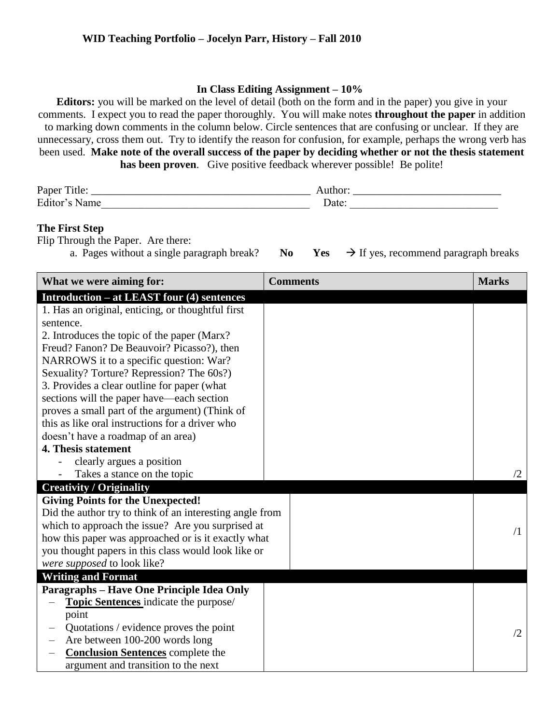## **In Class Editing Assignment – 10%**

**Editors:** you will be marked on the level of detail (both on the form and in the paper) you give in your comments. I expect you to read the paper thoroughly. You will make notes **throughout the paper** in addition to marking down comments in the column below. Circle sentences that are confusing or unclear. If they are unnecessary, cross them out. Try to identify the reason for confusion, for example, perhaps the wrong verb has been used. **Make note of the overall success of the paper by deciding whether or not the thesis statement has been proven**. Give positive feedback wherever possible! Be polite!

| Paper<br>ntle: |       |
|----------------|-------|
| Editor'        | ∙مt∝۱ |

## **The First Step**

Flip Through the Paper. Are there:

a. Pages without a single paragraph break? **No Yes**  $\rightarrow$  If yes, recommend paragraph breaks

| What we were aiming for:                                 | <b>Comments</b> | <b>Marks</b> |
|----------------------------------------------------------|-----------------|--------------|
| <b>Introduction – at LEAST four (4) sentences</b>        |                 |              |
| 1. Has an original, enticing, or thoughtful first        |                 |              |
| sentence.                                                |                 |              |
| 2. Introduces the topic of the paper (Marx?              |                 |              |
| Freud? Fanon? De Beauvoir? Picasso?), then               |                 |              |
| NARROWS it to a specific question: War?                  |                 |              |
| Sexuality? Torture? Repression? The 60s?)                |                 |              |
| 3. Provides a clear outline for paper (what              |                 |              |
| sections will the paper have—each section                |                 |              |
| proves a small part of the argument) (Think of           |                 |              |
| this as like oral instructions for a driver who          |                 |              |
| doesn't have a roadmap of an area)                       |                 |              |
| 4. Thesis statement                                      |                 |              |
| clearly argues a position                                |                 |              |
| Takes a stance on the topic                              |                 | /2           |
| <b>Creativity / Originality</b>                          |                 |              |
| <b>Giving Points for the Unexpected!</b>                 |                 |              |
| Did the author try to think of an interesting angle from |                 |              |
| which to approach the issue? Are you surprised at        |                 |              |
| how this paper was approached or is it exactly what      |                 | $\sqrt{1}$   |
| you thought papers in this class would look like or      |                 |              |
| were supposed to look like?                              |                 |              |
| <b>Writing and Format</b>                                |                 |              |
| Paragraphs - Have One Principle Idea Only                |                 |              |
| Topic Sentences indicate the purpose/                    |                 |              |
| point                                                    |                 |              |
| Quotations / evidence proves the point                   |                 | /2           |
| Are between 100-200 words long                           |                 |              |
| <b>Conclusion Sentences</b> complete the                 |                 |              |
| argument and transition to the next                      |                 |              |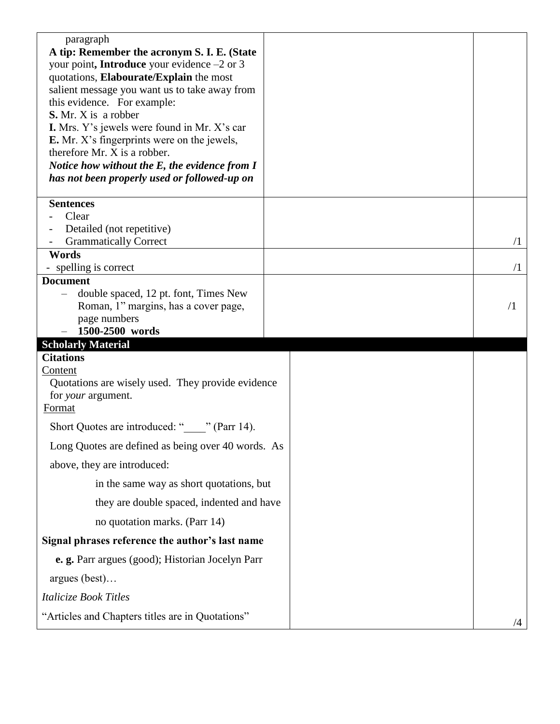| paragraph<br>A tip: Remember the acronym S. I. E. (State<br>your point, Introduce your evidence -2 or 3<br>quotations, Elabourate/Explain the most<br>salient message you want us to take away from<br>this evidence. For example:<br><b>S.</b> Mr. X is a robber<br><b>I.</b> Mrs. Y's jewels were found in Mr. X's car<br><b>E.</b> Mr. X's fingerprints were on the jewels,<br>therefore Mr. X is a robber.<br>Notice how without the E, the evidence from I<br>has not been properly used or followed-up on |            |
|-----------------------------------------------------------------------------------------------------------------------------------------------------------------------------------------------------------------------------------------------------------------------------------------------------------------------------------------------------------------------------------------------------------------------------------------------------------------------------------------------------------------|------------|
| <b>Sentences</b><br>Clear                                                                                                                                                                                                                                                                                                                                                                                                                                                                                       |            |
| Detailed (not repetitive)                                                                                                                                                                                                                                                                                                                                                                                                                                                                                       |            |
| <b>Grammatically Correct</b><br>Words                                                                                                                                                                                                                                                                                                                                                                                                                                                                           | $\sqrt{1}$ |
| - spelling is correct                                                                                                                                                                                                                                                                                                                                                                                                                                                                                           | $\sqrt{1}$ |
| <b>Document</b><br>double spaced, 12 pt. font, Times New                                                                                                                                                                                                                                                                                                                                                                                                                                                        |            |
| Roman, 1" margins, has a cover page,                                                                                                                                                                                                                                                                                                                                                                                                                                                                            | $\sqrt{1}$ |
| page numbers                                                                                                                                                                                                                                                                                                                                                                                                                                                                                                    |            |
| 1500-2500 words<br><b>Scholarly Material</b>                                                                                                                                                                                                                                                                                                                                                                                                                                                                    |            |
| <b>Citations</b>                                                                                                                                                                                                                                                                                                                                                                                                                                                                                                |            |
|                                                                                                                                                                                                                                                                                                                                                                                                                                                                                                                 |            |
| Content<br>Quotations are wisely used. They provide evidence<br>for <i>your</i> argument.<br>Format                                                                                                                                                                                                                                                                                                                                                                                                             |            |
| Short Quotes are introduced: "_____" (Parr 14).                                                                                                                                                                                                                                                                                                                                                                                                                                                                 |            |
| Long Quotes are defined as being over 40 words. As                                                                                                                                                                                                                                                                                                                                                                                                                                                              |            |
| above, they are introduced:                                                                                                                                                                                                                                                                                                                                                                                                                                                                                     |            |
| in the same way as short quotations, but                                                                                                                                                                                                                                                                                                                                                                                                                                                                        |            |
| they are double spaced, indented and have                                                                                                                                                                                                                                                                                                                                                                                                                                                                       |            |
| no quotation marks. (Parr 14)                                                                                                                                                                                                                                                                                                                                                                                                                                                                                   |            |
| Signal phrases reference the author's last name                                                                                                                                                                                                                                                                                                                                                                                                                                                                 |            |
| e. g. Parr argues (good); Historian Jocelyn Parr                                                                                                                                                                                                                                                                                                                                                                                                                                                                |            |
|                                                                                                                                                                                                                                                                                                                                                                                                                                                                                                                 |            |
| argues (best)<br>Italicize Book Titles                                                                                                                                                                                                                                                                                                                                                                                                                                                                          |            |
| "Articles and Chapters titles are in Quotations"                                                                                                                                                                                                                                                                                                                                                                                                                                                                |            |